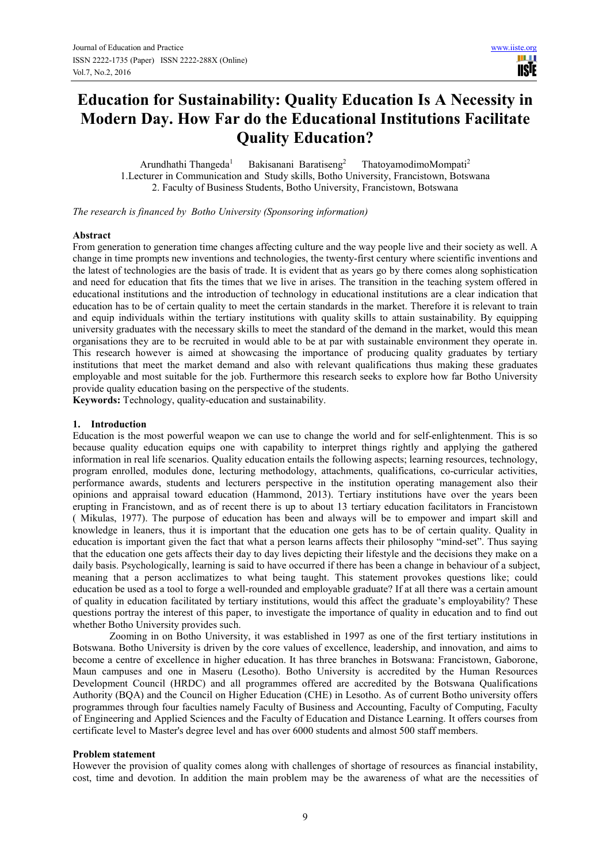**TISIE** 

# **Education for Sustainability: Quality Education Is A Necessity in Modern Day. How Far do the Educational Institutions Facilitate Quality Education?**

Arundhathi Thangeda<sup>1</sup> Bakisanani Baratiseng<sup>2</sup> ThatoyamodimoMompati<sup>2</sup> 1.Lecturer in Communication and Study skills, Botho University, Francistown, Botswana 2. Faculty of Business Students, Botho University, Francistown, Botswana

*The research is financed by Botho University (Sponsoring information)*

#### **Abstract**

From generation to generation time changes affecting culture and the way people live and their society as well. A change in time prompts new inventions and technologies, the twenty-first century where scientific inventions and the latest of technologies are the basis of trade. It is evident that as years go by there comes along sophistication and need for education that fits the times that we live in arises. The transition in the teaching system offered in educational institutions and the introduction of technology in educational institutions are a clear indication that education has to be of certain quality to meet the certain standards in the market. Therefore it is relevant to train and equip individuals within the tertiary institutions with quality skills to attain sustainability. By equipping university graduates with the necessary skills to meet the standard of the demand in the market, would this mean organisations they are to be recruited in would able to be at par with sustainable environment they operate in. This research however is aimed at showcasing the importance of producing quality graduates by tertiary institutions that meet the market demand and also with relevant qualifications thus making these graduates employable and most suitable for the job. Furthermore this research seeks to explore how far Botho University provide quality education basing on the perspective of the students.

**Keywords:** Technology, quality-education and sustainability.

#### **1. Introduction**

Education is the most powerful weapon we can use to change the world and for self-enlightenment. This is so because quality education equips one with capability to interpret things rightly and applying the gathered information in real life scenarios. Quality education entails the following aspects; learning resources, technology, program enrolled, modules done, lecturing methodology, attachments, qualifications, co-curricular activities, performance awards, students and lecturers perspective in the institution operating management also their opinions and appraisal toward education (Hammond, 2013). Tertiary institutions have over the years been erupting in Francistown, and as of recent there is up to about 13 tertiary education facilitators in Francistown ( Mikulas, 1977). The purpose of education has been and always will be to empower and impart skill and knowledge in leaners, thus it is important that the education one gets has to be of certain quality. Quality in education is important given the fact that what a person learns affects their philosophy "mind-set". Thus saying that the education one gets affects their day to day lives depicting their lifestyle and the decisions they make on a daily basis. Psychologically, learning is said to have occurred if there has been a change in behaviour of a subject, meaning that a person acclimatizes to what being taught. This statement provokes questions like; could education be used as a tool to forge a well-rounded and employable graduate? If at all there was a certain amount of quality in education facilitated by tertiary institutions, would this affect the graduate's employability? These questions portray the interest of this paper, to investigate the importance of quality in education and to find out whether Botho University provides such.

Zooming in on Botho University, it was established in 1997 as one of the first tertiary institutions in Botswana. Botho University is driven by the core values of excellence, leadership, and innovation, and aims to become a centre of excellence in higher education. It has three branches in Botswana: Francistown, Gaborone, Maun campuses and one in Maseru (Lesotho). Botho University is accredited by the Human Resources Development Council (HRDC) and all programmes offered are accredited by the Botswana Qualifications Authority (BQA) and the Council on Higher Education (CHE) in Lesotho. As of current Botho university offers programmes through four faculties namely Faculty of Business and Accounting, Faculty of Computing, Faculty of Engineering and Applied Sciences and the Faculty of Education and Distance Learning. It offers courses from certificate level to Master's degree level and has over 6000 students and almost 500 staff members.

#### **Problem statement**

However the provision of quality comes along with challenges of shortage of resources as financial instability, cost, time and devotion. In addition the main problem may be the awareness of what are the necessities of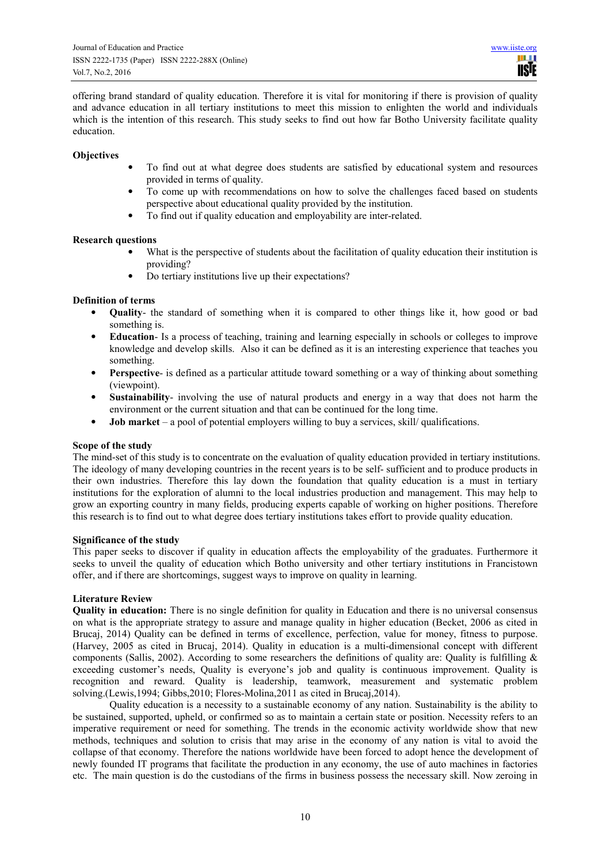offering brand standard of quality education. Therefore it is vital for monitoring if there is provision of quality and advance education in all tertiary institutions to meet this mission to enlighten the world and individuals which is the intention of this research. This study seeks to find out how far Botho University facilitate quality education.

#### **Objectives**

- To find out at what degree does students are satisfied by educational system and resources provided in terms of quality.
- To come up with recommendations on how to solve the challenges faced based on students perspective about educational quality provided by the institution.
- To find out if quality education and employability are inter-related.

#### **Research questions**

- What is the perspective of students about the facilitation of quality education their institution is providing?
- Do tertiary institutions live up their expectations?

# **Definition of terms**

- **Quality** the standard of something when it is compared to other things like it, how good or bad something is.
- **Education** Is a process of teaching, training and learning especially in schools or colleges to improve knowledge and develop skills. Also it can be defined as it is an interesting experience that teaches you something.
- **Perspective** is defined as a particular attitude toward something or a way of thinking about something (viewpoint).
- **Sustainability** involving the use of natural products and energy in a way that does not harm the environment or the current situation and that can be continued for the long time.
- **Job market** a pool of potential employers willing to buy a services, skill/ qualifications.

## **Scope of the study**

The mind-set of this study is to concentrate on the evaluation of quality education provided in tertiary institutions. The ideology of many developing countries in the recent years is to be self- sufficient and to produce products in their own industries. Therefore this lay down the foundation that quality education is a must in tertiary institutions for the exploration of alumni to the local industries production and management. This may help to grow an exporting country in many fields, producing experts capable of working on higher positions. Therefore this research is to find out to what degree does tertiary institutions takes effort to provide quality education.

#### **Significance of the study**

This paper seeks to discover if quality in education affects the employability of the graduates. Furthermore it seeks to unveil the quality of education which Botho university and other tertiary institutions in Francistown offer, and if there are shortcomings, suggest ways to improve on quality in learning.

## **Literature Review**

**Quality in education:** There is no single definition for quality in Education and there is no universal consensus on what is the appropriate strategy to assure and manage quality in higher education (Becket, 2006 as cited in Brucaj, 2014) Quality can be defined in terms of excellence, perfection, value for money, fitness to purpose. (Harvey, 2005 as cited in Brucaj, 2014). Quality in education is a multi-dimensional concept with different components (Sallis, 2002). According to some researchers the definitions of quality are: Quality is fulfilling  $\&$ exceeding customer's needs, Quality is everyone's job and quality is continuous improvement. Quality is recognition and reward. Quality is leadership, teamwork, measurement and systematic problem solving.(Lewis,1994; Gibbs,2010; Flores-Molina,2011 as cited in Brucaj,2014).

Quality education is a necessity to a sustainable economy of any nation. Sustainability is the ability to be sustained, supported, upheld, or confirmed so as to maintain a certain state or position. Necessity refers to an imperative requirement or need for something. The trends in the economic activity worldwide show that new methods, techniques and solution to crisis that may arise in the economy of any nation is vital to avoid the collapse of that economy. Therefore the nations worldwide have been forced to adopt hence the development of newly founded IT programs that facilitate the production in any economy, the use of auto machines in factories etc. The main question is do the custodians of the firms in business possess the necessary skill. Now zeroing in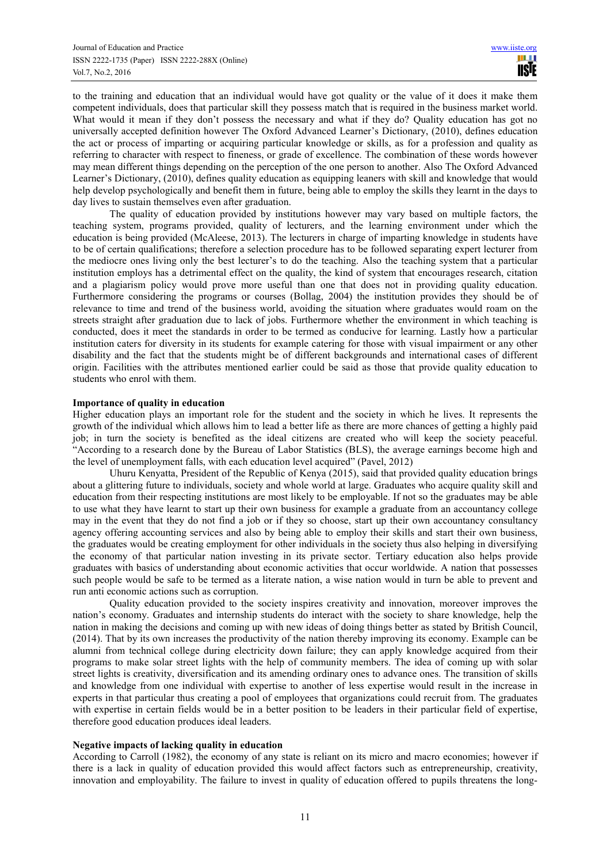to the training and education that an individual would have got quality or the value of it does it make them competent individuals, does that particular skill they possess match that is required in the business market world. What would it mean if they don't possess the necessary and what if they do? Quality education has got no universally accepted definition however The Oxford Advanced Learner's Dictionary, (2010), defines education the act or process of imparting or acquiring particular knowledge or skills, as for a profession and quality as referring to character with respect to fineness, or grade of excellence. The combination of these words however may mean different things depending on the perception of the one person to another. Also The Oxford Advanced Learner's Dictionary, (2010), defines quality education as equipping leaners with skill and knowledge that would help develop psychologically and benefit them in future, being able to employ the skills they learnt in the days to day lives to sustain themselves even after graduation.

The quality of education provided by institutions however may vary based on multiple factors, the teaching system, programs provided, quality of lecturers, and the learning environment under which the education is being provided (McAleese, 2013). The lecturers in charge of imparting knowledge in students have to be of certain qualifications; therefore a selection procedure has to be followed separating expert lecturer from the mediocre ones living only the best lecturer's to do the teaching. Also the teaching system that a particular institution employs has a detrimental effect on the quality, the kind of system that encourages research, citation and a plagiarism policy would prove more useful than one that does not in providing quality education. Furthermore considering the programs or courses (Bollag, 2004) the institution provides they should be of relevance to time and trend of the business world, avoiding the situation where graduates would roam on the streets straight after graduation due to lack of jobs. Furthermore whether the environment in which teaching is conducted, does it meet the standards in order to be termed as conducive for learning. Lastly how a particular institution caters for diversity in its students for example catering for those with visual impairment or any other disability and the fact that the students might be of different backgrounds and international cases of different origin. Facilities with the attributes mentioned earlier could be said as those that provide quality education to students who enrol with them.

#### **Importance of quality in education**

Higher education plays an important role for the student and the society in which he lives. It represents the growth of the individual which allows him to lead a better life as there are more chances of getting a highly paid job; in turn the society is benefited as the ideal citizens are created who will keep the society peaceful. "According to a research done by the Bureau of Labor Statistics (BLS), the average earnings become high and the level of unemployment falls, with each education level acquired" (Pavel, 2012)

Uhuru Kenyatta, President of the Republic of Kenya (2015), said that provided quality education brings about a glittering future to individuals, society and whole world at large. Graduates who acquire quality skill and education from their respecting institutions are most likely to be employable. If not so the graduates may be able to use what they have learnt to start up their own business for example a graduate from an accountancy college may in the event that they do not find a job or if they so choose, start up their own accountancy consultancy agency offering accounting services and also by being able to employ their skills and start their own business, the graduates would be creating employment for other individuals in the society thus also helping in diversifying the economy of that particular nation investing in its private sector. Tertiary education also helps provide graduates with basics of understanding about economic activities that occur worldwide. A nation that possesses such people would be safe to be termed as a literate nation, a wise nation would in turn be able to prevent and run anti economic actions such as corruption.

Quality education provided to the society inspires creativity and innovation, moreover improves the nation's economy. Graduates and internship students do interact with the society to share knowledge, help the nation in making the decisions and coming up with new ideas of doing things better as stated by British Council, (2014). That by its own increases the productivity of the nation thereby improving its economy. Example can be alumni from technical college during electricity down failure; they can apply knowledge acquired from their programs to make solar street lights with the help of community members. The idea of coming up with solar street lights is creativity, diversification and its amending ordinary ones to advance ones. The transition of skills and knowledge from one individual with expertise to another of less expertise would result in the increase in experts in that particular thus creating a pool of employees that organizations could recruit from. The graduates with expertise in certain fields would be in a better position to be leaders in their particular field of expertise, therefore good education produces ideal leaders.

#### **Negative impacts of lacking quality in education**

According to Carroll (1982), the economy of any state is reliant on its micro and macro economies; however if there is a lack in quality of education provided this would affect factors such as entrepreneurship, creativity, innovation and employability. The failure to invest in quality of education offered to pupils threatens the long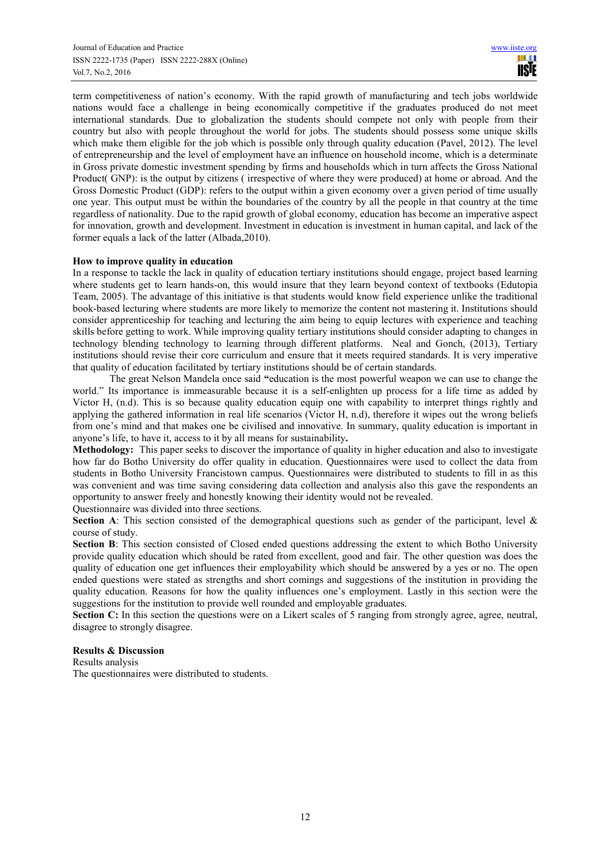term competitiveness of nation's economy. With the rapid growth of manufacturing and tech jobs worldwide nations would face a challenge in being economically competitive if the graduates produced do not meet international standards. Due to globalization the students should compete not only with people from their country but also with people throughout the world for jobs. The students should possess some unique skills which make them eligible for the job which is possible only through quality education (Pavel, 2012). The level of entrepreneurship and the level of employment have an influence on household income, which is a determinate in Gross private domestic investment spending by firms and households which in turn affects the Gross National Product( GNP): is the output by citizens ( irrespective of where they were produced) at home or abroad. And the Gross Domestic Product (GDP): refers to the output within a given economy over a given period of time usually one year. This output must be within the boundaries of the country by all the people in that country at the time regardless of nationality. Due to the rapid growth of global economy, education has become an imperative aspect for innovation, growth and development. Investment in education is investment in human capital, and lack of the former equals a lack of the latter (Albada,2010).

## **How to improve quality in education**

In a response to tackle the lack in quality of education tertiary institutions should engage, project based learning where students get to learn hands-on, this would insure that they learn beyond context of textbooks (Edutopia Team, 2005). The advantage of this initiative is that students would know field experience unlike the traditional book-based lecturing where students are more likely to memorize the content not mastering it. Institutions should consider apprenticeship for teaching and lecturing the aim being to equip lectures with experience and teaching skills before getting to work. While improving quality tertiary institutions should consider adapting to changes in technology blending technology to learning through different platforms. Neal and Gonch, (2013), Tertiary institutions should revise their core curriculum and ensure that it meets required standards. It is very imperative that quality of education facilitated by tertiary institutions should be of certain standards.

The great Nelson Mandela once said **"**education is the most powerful weapon we can use to change the world." Its importance is immeasurable because it is a self-enlighten up process for a life time as added by Victor H, (n.d). This is so because quality education equip one with capability to interpret things rightly and applying the gathered information in real life scenarios (Victor H, n.d), therefore it wipes out the wrong beliefs from one's mind and that makes one be civilised and innovative. In summary, quality education is important in anyone's life, to have it, access to it by all means for sustainability**.**

**Methodology:** This paper seeks to discover the importance of quality in higher education and also to investigate how far do Botho University do offer quality in education. Questionnaires were used to collect the data from students in Botho University Francistown campus. Questionnaires were distributed to students to fill in as this was convenient and was time saving considering data collection and analysis also this gave the respondents an opportunity to answer freely and honestly knowing their identity would not be revealed.

Questionnaire was divided into three sections.

**Section A**: This section consisted of the demographical questions such as gender of the participant, level & course of study.

**Section B**: This section consisted of Closed ended questions addressing the extent to which Botho University provide quality education which should be rated from excellent, good and fair. The other question was does the quality of education one get influences their employability which should be answered by a yes or no. The open ended questions were stated as strengths and short comings and suggestions of the institution in providing the quality education. Reasons for how the quality influences one's employment. Lastly in this section were the suggestions for the institution to provide well rounded and employable graduates.

**Section C:** In this section the questions were on a Likert scales of 5 ranging from strongly agree, agree, neutral, disagree to strongly disagree.

#### **Results & Discussion**

Results analysis

The questionnaires were distributed to students.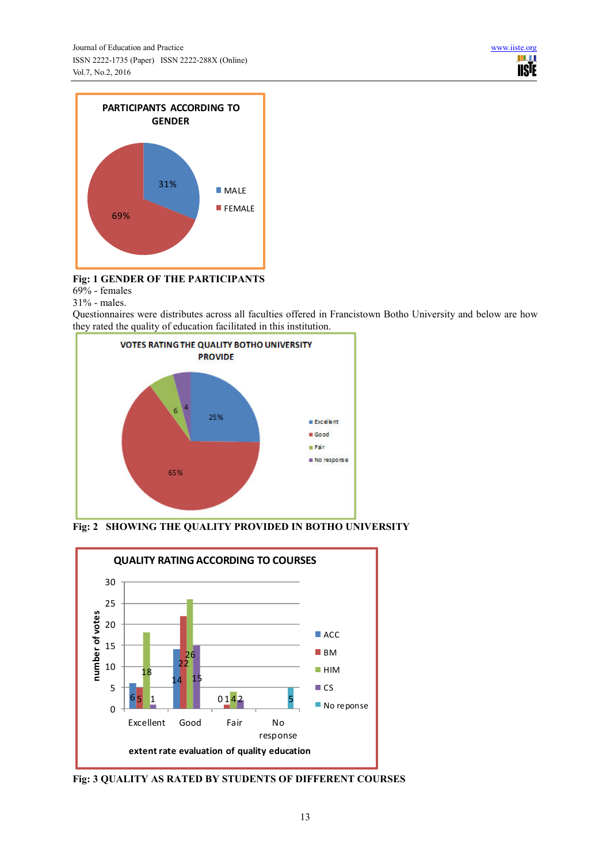

# **Fig: 1 GENDER OF THE PARTICIPANTS**

 $69%$  - females

31% - males.

Questionnaires were distributes across all faculties offered in Francistown Botho University and below are how they rated the quality of education facilitated in this institution.



**Fig: 2 SHOWING THE QUALITY PROVIDED IN BOTHO UNIVERSITY** 



**Fig: 3 QUALITY AS RATED BY STUDENTS OF DIFFERENT COURSES**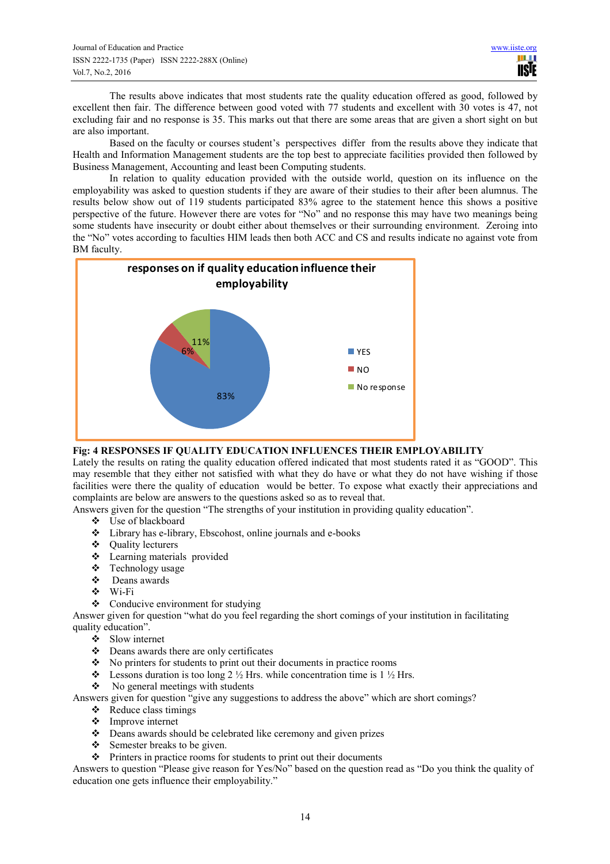The results above indicates that most students rate the quality education offered as good, followed by excellent then fair. The difference between good voted with 77 students and excellent with 30 votes is 47, not excluding fair and no response is 35. This marks out that there are some areas that are given a short sight on but are also important.

Based on the faculty or courses student's perspectives differ from the results above they indicate that Health and Information Management students are the top best to appreciate facilities provided then followed by Business Management, Accounting and least been Computing students.

In relation to quality education provided with the outside world, question on its influence on the employability was asked to question students if they are aware of their studies to their after been alumnus. The results below show out of 119 students participated 83% agree to the statement hence this shows a positive perspective of the future. However there are votes for "No" and no response this may have two meanings being some students have insecurity or doubt either about themselves or their surrounding environment. Zeroing into the "No" votes according to faculties HIM leads then both ACC and CS and results indicate no against vote from BM faculty.



# **Fig: 4 RESPONSES IF QUALITY EDUCATION INFLUENCES THEIR EMPLOYABILITY**

Lately the results on rating the quality education offered indicated that most students rated it as "GOOD". This may resemble that they either not satisfied with what they do have or what they do not have wishing if those facilities were there the quality of education would be better. To expose what exactly their appreciations and complaints are below are answers to the questions asked so as to reveal that.

Answers given for the question "The strengths of your institution in providing quality education".

- Use of blackboard
- Library has e-library, Ebscohost, online journals and e-books
- ❖ Ouality lecturers
- Learning materials provided
- Technology usage
- $\mathbf{\hat{\cdot}$  Deans awards
- Wi-Fi
- Conducive environment for studying

Answer given for question "what do you feel regarding the short comings of your institution in facilitating quality education".

- $\bullet$  Slow internet
- Deans awards there are only certificates
- $\bullet$  No printers for students to print out their documents in practice rooms
- Eessons duration is too long  $2 \frac{1}{2}$  Hrs. while concentration time is  $1 \frac{1}{2}$  Hrs.
- $\bullet$  No general meetings with students

Answers given for question "give any suggestions to address the above" which are short comings?

- $\triangleleft$  Reduce class timings
- Improve internet
- Deans awards should be celebrated like ceremony and given prizes
- Semester breaks to be given.
- $\triangle$  Printers in practice rooms for students to print out their documents

Answers to question "Please give reason for Yes/No" based on the question read as "Do you think the quality of education one gets influence their employability."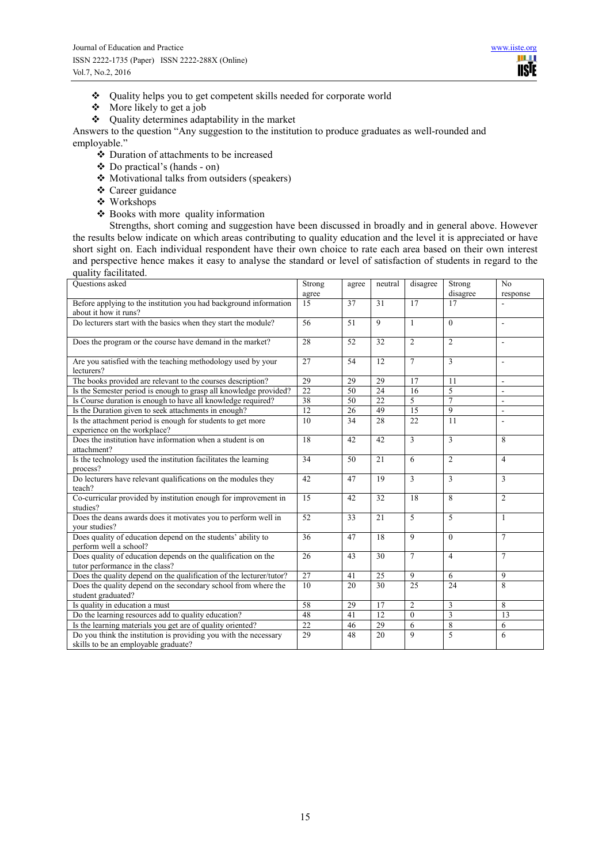- **↓** Quality helps you to get competent skills needed for corporate world <br>◆ More likely to get a job
- More likely to get a job
- Quality determines adaptability in the market

Answers to the question "Any suggestion to the institution to produce graduates as well-rounded and employable."

- Duration of attachments to be increased
- $\triangle$  Do practical's (hands on)
- Motivational talks from outsiders (speakers)
- Career guidance
- Workshops
- Books with more quality information

Strengths, short coming and suggestion have been discussed in broadly and in general above. However the results below indicate on which areas contributing to quality education and the level it is appreciated or have short sight on. Each individual respondent have their own choice to rate each area based on their own interest and perspective hence makes it easy to analyse the standard or level of satisfaction of students in regard to the quality facilitated.

| Questions asked                                                     | Strong          | agree | neutral         | disagree       | Strong         | N <sub>o</sub> |
|---------------------------------------------------------------------|-----------------|-------|-----------------|----------------|----------------|----------------|
|                                                                     | agree           |       |                 |                | disagree       | response       |
| Before applying to the institution you had background information   | 15              | 37    | $\overline{31}$ | 17             | 17             |                |
| about it how it runs?                                               |                 |       |                 |                |                |                |
| Do lecturers start with the basics when they start the module?      | 56              | 51    | 9               | $\mathbf{1}$   | $\theta$       | $\overline{a}$ |
|                                                                     |                 |       |                 |                |                |                |
| Does the program or the course have demand in the market?           | 28              | 52    | 32              | $\overline{2}$ | $\overline{2}$ | $\overline{a}$ |
| Are you satisfied with the teaching methodology used by your        | 27              | 54    | 12              | $\overline{7}$ | 3              | $\overline{a}$ |
| lecturers?                                                          |                 |       |                 |                |                |                |
| The books provided are relevant to the courses description?         | 29              | 29    | 29              | 17             | 11             | ä,             |
| Is the Semester period is enough to grasp all knowledge provided?   | 22              | 50    | 24              | 16             | 5              | $\overline{a}$ |
| Is Course duration is enough to have all knowledge required?        | 38              | 50    | 22              | 5              | $\overline{7}$ | $\overline{a}$ |
| Is the Duration given to seek attachments in enough?                | 12              | 26    | 49              | 15             | 9              | $\overline{a}$ |
| Is the attachment period is enough for students to get more         | 10              | 34    | 28              | 22             | 11             |                |
| experience on the workplace?                                        |                 |       |                 |                |                |                |
| Does the institution have information when a student is on          | 18              | 42    | 42              | 3              | 3              | 8              |
| attachment?                                                         |                 |       |                 |                |                |                |
| Is the technology used the institution facilitates the learning     | 34              | 50    | 21              | 6              | $\overline{2}$ | $\overline{4}$ |
| process?                                                            |                 |       |                 |                |                |                |
| Do lecturers have relevant qualifications on the modules they       | 42              | 47    | 19              | 3              | 3              | 3              |
| teach?                                                              |                 |       |                 |                |                |                |
| Co-curricular provided by institution enough for improvement in     | 15              | 42    | 32              | 18             | 8              | $\overline{c}$ |
| studies?                                                            |                 |       |                 |                |                |                |
| Does the deans awards does it motivates you to perform well in      | 52              | 33    | 21              | 5              | 5              | $\mathbf{1}$   |
| vour studies?                                                       |                 |       |                 |                |                |                |
| Does quality of education depend on the students' ability to        | 36              | 47    | 18              | 9              | $\theta$       | $\overline{7}$ |
| perform well a school?                                              |                 |       |                 |                |                |                |
| Does quality of education depends on the qualification on the       | 26              | 43    | 30              | $\overline{7}$ | 4              | $\overline{7}$ |
| tutor performance in the class?                                     |                 |       |                 |                |                |                |
| Does the quality depend on the qualification of the lecturer/tutor? | $\overline{27}$ | 41    | 25              | 9              | 6              | 9              |
| Does the quality depend on the secondary school from where the      | 10              | 20    | 30              | 25             | 24             | 8              |
| student graduated?                                                  |                 |       |                 |                |                |                |
| Is quality in education a must                                      | $\overline{58}$ | 29    | 17              | $\overline{2}$ | 3              | 8              |
| Do the learning resources add to quality education?                 | 48              | 41    | 12              | $\mathbf{0}$   | $\overline{3}$ | 13             |
| Is the learning materials you get are of quality oriented?          | 22              | 46    | 29              | 6              | 8              | 6              |
| Do you think the institution is providing you with the necessary    | 29              | 48    | $\overline{20}$ | 9              | 5              | 6              |
| skills to be an employable graduate?                                |                 |       |                 |                |                |                |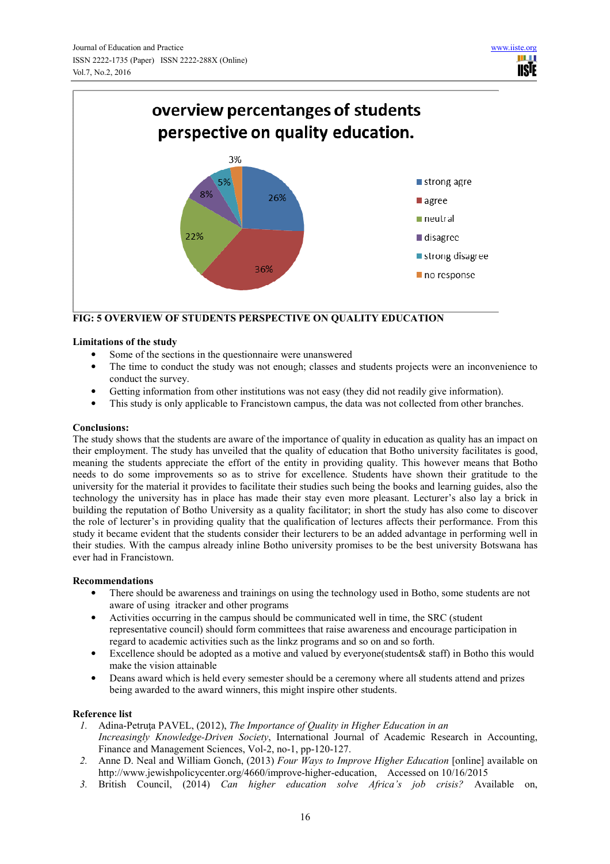

**FIG: 5 OVERVIEW OF STUDENTS PERSPECTIVE ON QUALITY EDUCATION** 

## **Limitations of the study**

- Some of the sections in the questionnaire were unanswered
- The time to conduct the study was not enough; classes and students projects were an inconvenience to conduct the survey.
- Getting information from other institutions was not easy (they did not readily give information).
- This study is only applicable to Francistown campus, the data was not collected from other branches.

## **Conclusions:**

The study shows that the students are aware of the importance of quality in education as quality has an impact on their employment. The study has unveiled that the quality of education that Botho university facilitates is good, meaning the students appreciate the effort of the entity in providing quality. This however means that Botho needs to do some improvements so as to strive for excellence. Students have shown their gratitude to the university for the material it provides to facilitate their studies such being the books and learning guides, also the technology the university has in place has made their stay even more pleasant. Lecturer's also lay a brick in building the reputation of Botho University as a quality facilitator; in short the study has also come to discover the role of lecturer's in providing quality that the qualification of lectures affects their performance. From this study it became evident that the students consider their lecturers to be an added advantage in performing well in their studies. With the campus already inline Botho university promises to be the best university Botswana has ever had in Francistown.

## **Recommendations**

- There should be awareness and trainings on using the technology used in Botho, some students are not aware of using itracker and other programs
- Activities occurring in the campus should be communicated well in time, the SRC (student representative council) should form committees that raise awareness and encourage participation in regard to academic activities such as the linkz programs and so on and so forth.
- Excellence should be adopted as a motive and valued by everyone(students & staff) in Botho this would make the vision attainable
- Deans award which is held every semester should be a ceremony where all students attend and prizes being awarded to the award winners, this might inspire other students.

# **Reference list**

- *1.* Adina-Petruta PAVEL, (2012), *The Importance of Quality in Higher Education in an Increasingly Knowledge-Driven Society*, International Journal of Academic Research in Accounting, Finance and Management Sciences, Vol-2, no-1, pp-120-127.
- *2.* Anne D. Neal and William Gonch, (2013) *Four Ways to Improve Higher Education* [online] available on http://www.jewishpolicycenter.org/4660/improve-higher-education, Accessed on 10/16/2015
- *3.* British Council, (2014) *Can higher education solve Africa's job crisis?* Available on,